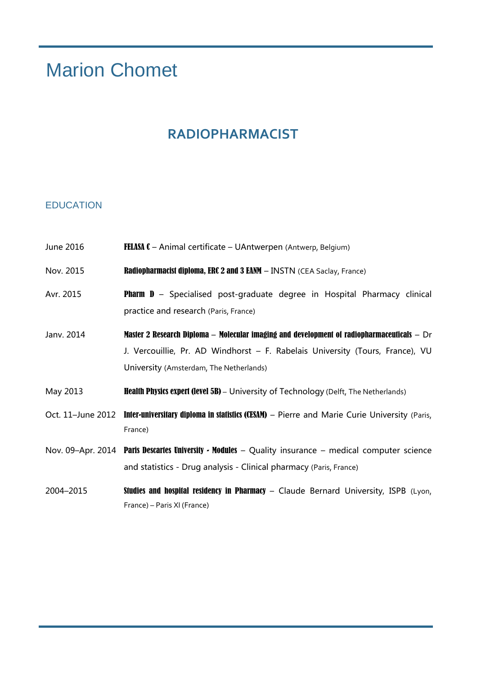# Marion Chomet

# **RADIOPHARMACIST**

#### EDUCATION

- June 2016 **FELASA C** Animal certificate UAntwerpen (Antwerp, Belgium)
- Nov. 2015 **Radiopharmacist diploma, ERC 2 and 3 EANM** INSTN (CEA Saclay, France)
- Avr. 2015 **Pharm D** Specialised post-graduate degree in Hospital Pharmacy clinical practice and research (Paris, France)
- Janv. 2014 Master 2 Research Diploma Molecular imaging and development of radiopharmaceuticals Dr J. Vercouillie, Pr. AD Windhorst – F. Rabelais University (Tours, France), VU University (Amsterdam, The Netherlands)
- May 2013 **Health Physics expert (level 5B)** University of Technology (Delft, The Netherlands)
- Oct. 11-June 2012 Inter-universitary diploma in statistics (CESAM) Pierre and Marie Curie University (Paris, France)
- Nov. 09–Apr. 2014 Paris Descartes University Modules Quality insurance medical computer science and statistics - Drug analysis - Clinical pharmacy (Paris, France)
- 2004–2015 Studies and hospital residency in Pharmacy Claude Bernard University, ISPB (Lyon, France) – Paris XI (France)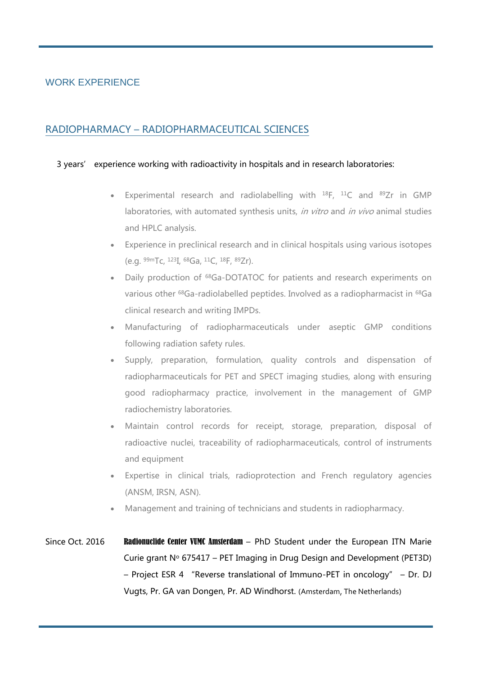#### WORK EXPERIENCE

### RADIOPHARMACY – RADIOPHARMACEUTICAL SCIENCES

#### 3 years' experience working with radioactivity in hospitals and in research laboratories:

- Experimental research and radiolabelling with  $^{18}F$ ,  $^{11}C$  and  $^{89}Zr$  in GMP laboratories, with automated synthesis units, in vitro and in vivo animal studies and HPLC analysis.
- Experience in preclinical research and in clinical hospitals using various isotopes (e.g. 99mTc, <sup>123</sup>I, <sup>68</sup>Ga, <sup>11</sup>C, <sup>18</sup>F, <sup>89</sup>Zr).
- Daily production of <sup>68</sup>Ga-DOTATOC for patients and research experiments on various other <sup>68</sup>Ga-radiolabelled peptides. Involved as a radiopharmacist in <sup>68</sup>Ga clinical research and writing IMPDs.
- Manufacturing of radiopharmaceuticals under aseptic GMP conditions following radiation safety rules.
- Supply, preparation, formulation, quality controls and dispensation of radiopharmaceuticals for PET and SPECT imaging studies, along with ensuring good radiopharmacy practice, involvement in the management of GMP radiochemistry laboratories.
- Maintain control records for receipt, storage, preparation, disposal of radioactive nuclei, traceability of radiopharmaceuticals, control of instruments and equipment
- Expertise in clinical trials, radioprotection and French regulatory agencies (ANSM, IRSN, ASN).
- Management and training of technicians and students in radiopharmacy.
- Since Oct. 2016 Radionuclide Center VUMC Amsterdam PhD Student under the European ITN Marie Curie grant  $N^{\circ}$  675417 – PET Imaging in Drug Design and Development (PET3D) – Project ESR 4 "Reverse translational of Immuno-PET in oncology" – Dr. DJ Vugts, Pr. GA van Dongen, Pr. AD Windhorst. (Amsterdam, The Netherlands)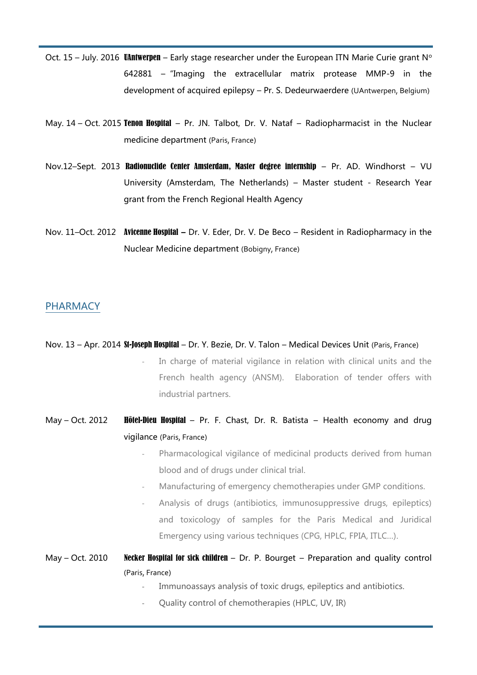- Oct. 15 July. 2016 UAntwerpen Early stage researcher under the European ITN Marie Curie grant  $N^{\circ}$ 642881 –"Imaging the extracellular matrix protease MMP-9 in the development of acquired epilepsy – Pr. S. Dedeurwaerdere (UAntwerpen, Belgium)
- May. 14 Oct. 2015 Tenon Hospital Pr. JN. Talbot, Dr. V. Nataf Radiopharmacist in the Nuclear medicine department (Paris, France)
- Nov.12–Sept. 2013 Radionuclide Center Amsterdam, Master degree internship Pr. AD. Windhorst VU University (Amsterdam, The Netherlands) – Master student - Research Year grant from the French Regional Health Agency
- Nov. 11–Oct. 2012 Avicenne Hospital **–** Dr. V. Eder, Dr. V. De Beco Resident in Radiopharmacy in the Nuclear Medicine department (Bobigny, France)

#### PHARMACY

- Nov. 13 Apr. 2014 St-Joseph Hospital Dr. Y. Bezie, Dr. V. Talon Medical Devices Unit (Paris, France)
	- In charge of material vigilance in relation with clinical units and the French health agency (ANSM). Elaboration of tender offers with industrial partners.
- May Oct. 2012 **Hôtel-Dieu Hospital** Pr. F. Chast, Dr. R. Batista Health economy and drug vigilance (Paris, France)
	- Pharmacological vigilance of medicinal products derived from human blood and of drugs under clinical trial.
	- Manufacturing of emergency chemotherapies under GMP conditions.
	- Analysis of drugs (antibiotics, immunosuppressive drugs, epileptics) and toxicology of samples for the Paris Medical and Juridical Emergency using various techniques (CPG, HPLC, FPIA, ITLC…).
- May Oct. 2010 Necker Hospital for sick children Dr. P. Bourget Preparation and quality control (Paris, France)
	- Immunoassays analysis of toxic drugs, epileptics and antibiotics.
	- Quality control of chemotherapies (HPLC, UV, IR)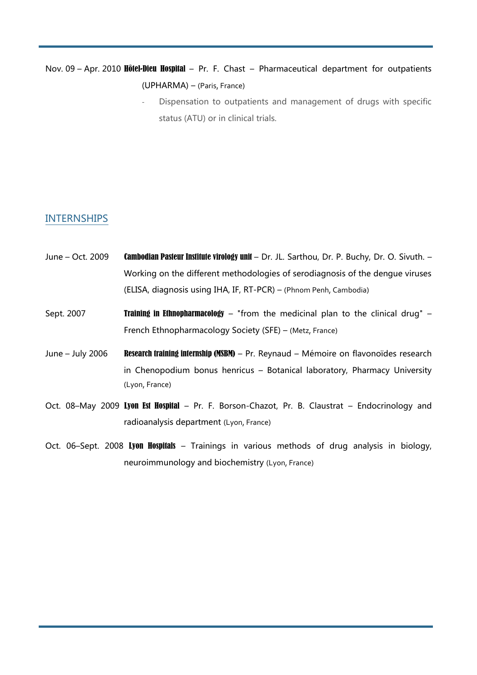## Nov. 09 - Apr. 2010 Hôtel-Dieu Hospital - Pr. F. Chast - Pharmaceutical department for outpatients (UPHARMA) – (Paris, France)

Dispensation to outpatients and management of drugs with specific status (ATU) or in clinical trials.

#### INTERNSHIPS

- June Oct. 2009 Cambodian Pasteur Institute virology unit Dr. JL. Sarthou, Dr. P. Buchy, Dr. O. Sivuth. Working on the different methodologies of serodiagnosis of the dengue viruses (ELISA, diagnosis using IHA, IF, RT-PCR) – (Phnom Penh, Cambodia)
- Sept. 2007 **Training in Ethnopharmacology** "from the medicinal plan to the clinical drug" French Ethnopharmacology Society (SFE) – (Metz, France)
- June July 2006 Research training internship (MSBM) Pr. Reynaud Mémoire on flavonoïdes research in Chenopodium bonus henricus – Botanical laboratory, Pharmacy University (Lyon, France)
- Oct. 08–May 2009 Lyon Est Hospital Pr. F. Borson-Chazot, Pr. B. Claustrat Endocrinology and radioanalysis department (Lyon, France)
- Oct. 06–Sept. 2008 Lyon Hospitals Trainings in various methods of drug analysis in biology, neuroimmunology and biochemistry (Lyon, France)